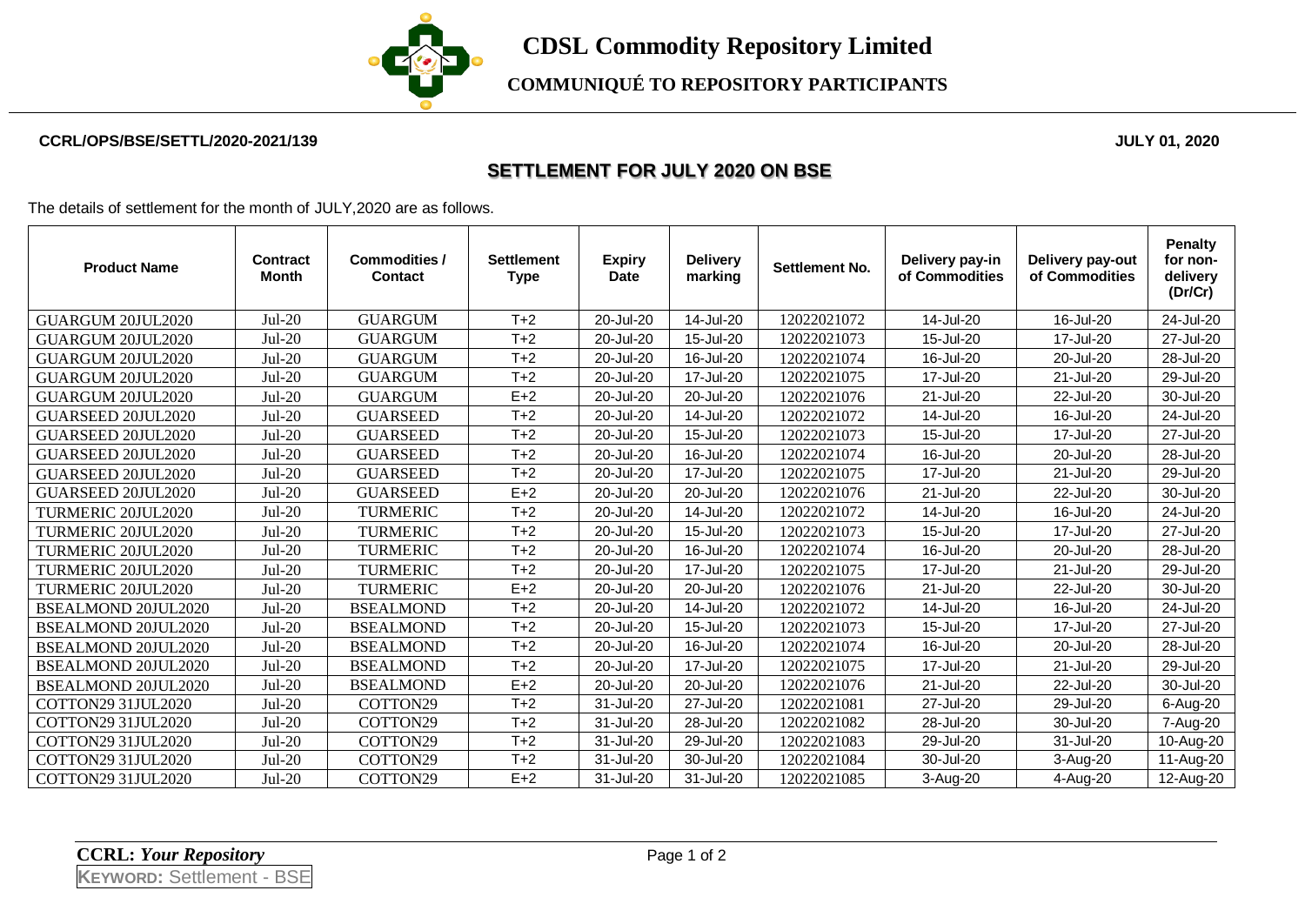

**COMMUNIQUÉ TO REPOSITORY PARTICIPANTS**

## **CCRL/OPS/BSE/SETTL/2020-2021/139 JULY 01, 2020**

## **SETTLEMENT FOR JULY 2020 ON BSE**

The details of settlement for the month of JULY,2020 are as follows.

| <b>Product Name</b>        | <b>Contract</b><br><b>Month</b> | Commodities /<br><b>Contact</b> | <b>Settlement</b><br><b>Type</b> | <b>Expiry</b><br><b>Date</b> | <b>Delivery</b><br>marking | <b>Settlement No.</b> | Delivery pay-in<br>of Commodities | Delivery pay-out<br>of Commodities | <b>Penalty</b><br>for non-<br>delivery<br>(Dr/Cr) |
|----------------------------|---------------------------------|---------------------------------|----------------------------------|------------------------------|----------------------------|-----------------------|-----------------------------------|------------------------------------|---------------------------------------------------|
| GUARGUM 20JUL2020          | $Jul-20$                        | <b>GUARGUM</b>                  | $T+2$                            | 20-Jul-20                    | 14-Jul-20                  | 12022021072           | 14-Jul-20                         | 16-Jul-20                          | 24-Jul-20                                         |
| GUARGUM 20JUL2020          | $Jul-20$                        | <b>GUARGUM</b>                  | $T+2$                            | 20-Jul-20                    | 15-Jul-20                  | 12022021073           | 15-Jul-20                         | 17-Jul-20                          | 27-Jul-20                                         |
| <b>GUARGUM 20JUL2020</b>   | $Jul-20$                        | <b>GUARGUM</b>                  | $T+2$                            | 20-Jul-20                    | 16-Jul-20                  | 12022021074           | 16-Jul-20                         | 20-Jul-20                          | 28-Jul-20                                         |
| GUARGUM 20JUL2020          | $Jul-20$                        | <b>GUARGUM</b>                  | $T+2$                            | 20-Jul-20                    | 17-Jul-20                  | 12022021075           | 17-Jul-20                         | 21-Jul-20                          | 29-Jul-20                                         |
| GUARGUM 20JUL2020          | $Jul-20$                        | <b>GUARGUM</b>                  | $E+2$                            | 20-Jul-20                    | 20-Jul-20                  | 12022021076           | 21-Jul-20                         | 22-Jul-20                          | 30-Jul-20                                         |
| GUARSEED 20JUL2020         | $Jul-20$                        | <b>GUARSEED</b>                 | $T+2$                            | 20-Jul-20                    | 14-Jul-20                  | 12022021072           | 14-Jul-20                         | 16-Jul-20                          | 24-Jul-20                                         |
| GUARSEED 20JUL2020         | $Jul-20$                        | <b>GUARSEED</b>                 | $T+2$                            | 20-Jul-20                    | 15-Jul-20                  | 12022021073           | 15-Jul-20                         | 17-Jul-20                          | 27-Jul-20                                         |
| GUARSEED 20JUL2020         | $Jul-20$                        | <b>GUARSEED</b>                 | $T+2$                            | 20-Jul-20                    | 16-Jul-20                  | 12022021074           | 16-Jul-20                         | 20-Jul-20                          | 28-Jul-20                                         |
| GUARSEED 20JUL2020         | $Jul-20$                        | <b>GUARSEED</b>                 | $T+2$                            | 20-Jul-20                    | 17-Jul-20                  | 12022021075           | 17-Jul-20                         | 21-Jul-20                          | 29-Jul-20                                         |
| GUARSEED 20JUL2020         | $Jul-20$                        | <b>GUARSEED</b>                 | $E+2$                            | 20-Jul-20                    | 20-Jul-20                  | 12022021076           | 21-Jul-20                         | 22-Jul-20                          | 30-Jul-20                                         |
| <b>TURMERIC 20JUL2020</b>  | $Jul-20$                        | <b>TURMERIC</b>                 | $T+2$                            | 20-Jul-20                    | 14-Jul-20                  | 12022021072           | 14-Jul-20                         | 16-Jul-20                          | 24-Jul-20                                         |
| <b>TURMERIC 20JUL2020</b>  | $Jul-20$                        | <b>TURMERIC</b>                 | $T+2$                            | 20-Jul-20                    | 15-Jul-20                  | 12022021073           | 15-Jul-20                         | 17-Jul-20                          | 27-Jul-20                                         |
| <b>TURMERIC 20JUL2020</b>  | $Jul-20$                        | <b>TURMERIC</b>                 | $T+2$                            | 20-Jul-20                    | 16-Jul-20                  | 12022021074           | 16-Jul-20                         | 20-Jul-20                          | 28-Jul-20                                         |
| TURMERIC 20JUL2020         | $Jul-20$                        | <b>TURMERIC</b>                 | $T+2$                            | 20-Jul-20                    | 17-Jul-20                  | 12022021075           | 17-Jul-20                         | 21-Jul-20                          | 29-Jul-20                                         |
| TURMERIC 20JUL2020         | $Jul-20$                        | <b>TURMERIC</b>                 | $E+2$                            | 20-Jul-20                    | 20-Jul-20                  | 12022021076           | 21-Jul-20                         | 22-Jul-20                          | 30-Jul-20                                         |
| <b>BSEALMOND 20JUL2020</b> | $Jul-20$                        | <b>BSEALMOND</b>                | $T+2$                            | 20-Jul-20                    | 14-Jul-20                  | 12022021072           | 14-Jul-20                         | 16-Jul-20                          | 24-Jul-20                                         |
| BSEALMOND 20JUL2020        | $Jul-20$                        | <b>BSEALMOND</b>                | $T+2$                            | 20-Jul-20                    | 15-Jul-20                  | 12022021073           | 15-Jul-20                         | 17-Jul-20                          | 27-Jul-20                                         |
| BSEALMOND 20JUL2020        | $Jul-20$                        | <b>BSEALMOND</b>                | $T+2$                            | 20-Jul-20                    | 16-Jul-20                  | 12022021074           | 16-Jul-20                         | 20-Jul-20                          | 28-Jul-20                                         |
| BSEALMOND 20JUL2020        | $Jul-20$                        | <b>BSEALMOND</b>                | $T+2$                            | 20-Jul-20                    | 17-Jul-20                  | 12022021075           | 17-Jul-20                         | 21-Jul-20                          | 29-Jul-20                                         |
| <b>BSEALMOND 20JUL2020</b> | $Jul-20$                        | <b>BSEALMOND</b>                | $E+2$                            | 20-Jul-20                    | 20-Jul-20                  | 12022021076           | 21-Jul-20                         | 22-Jul-20                          | 30-Jul-20                                         |
| COTTON29 31JUL2020         | $Jul-20$                        | COTTON29                        | $T+2$                            | 31-Jul-20                    | 27-Jul-20                  | 12022021081           | 27-Jul-20                         | 29-Jul-20                          | 6-Aug-20                                          |
| COTTON29 31JUL2020         | $Jul-20$                        | COTTON29                        | $T+2$                            | 31-Jul-20                    | 28-Jul-20                  | 12022021082           | 28-Jul-20                         | 30-Jul-20                          | 7-Aug-20                                          |
| COTTON29 31JUL2020         | $Jul-20$                        | COTTON29                        | $T+2$                            | 31-Jul-20                    | 29-Jul-20                  | 12022021083           | 29-Jul-20                         | 31-Jul-20                          | 10-Aug-20                                         |
| COTTON29 31JUL2020         | $Jul-20$                        | COTTON29                        | $T+2$                            | 31-Jul-20                    | 30-Jul-20                  | 12022021084           | 30-Jul-20                         | 3-Aug-20                           | 11-Aug-20                                         |
| COTTON29 31JUL2020         | $Jul-20$                        | COTTON29                        | $E+2$                            | 31-Jul-20                    | 31-Jul-20                  | 12022021085           | 3-Aug-20                          | 4-Aug-20                           | 12-Aug-20                                         |